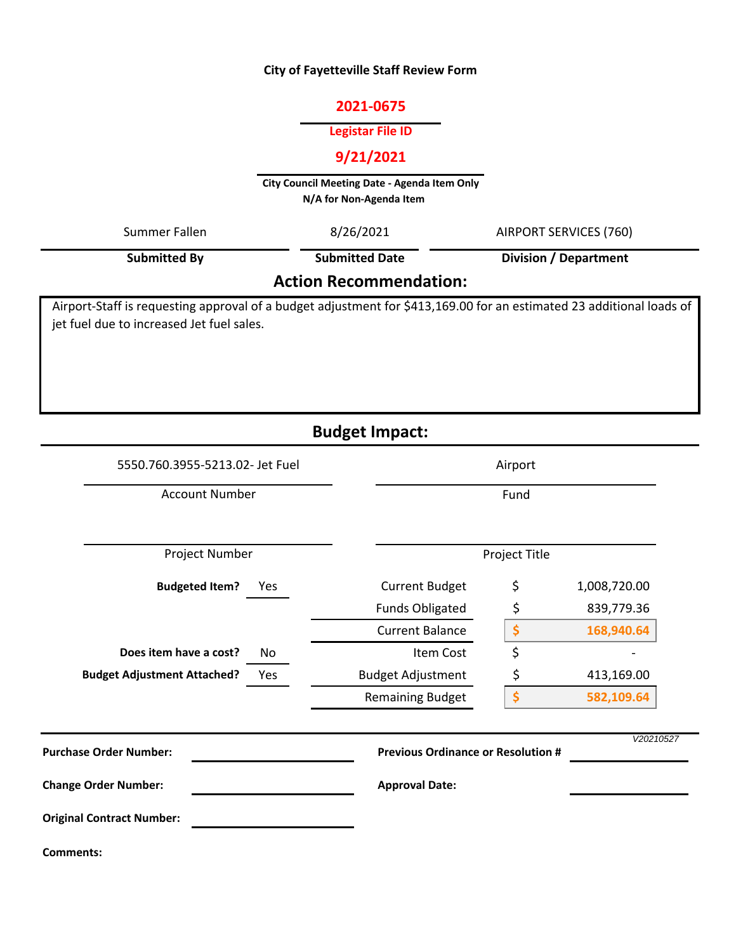#### **City of Fayetteville Staff Review Form**

# **2021‐0675**

#### **Legistar File ID**

# **9/21/2021**

**City Council Meeting Date ‐ Agenda Item Only N/A for Non‐Agenda Item** 

| Summer Fallen                             | 8/26/2021             | AIRPORT SERVICES (760)                                                                                               |
|-------------------------------------------|-----------------------|----------------------------------------------------------------------------------------------------------------------|
| <b>Submitted By</b>                       | <b>Submitted Date</b> | <b>Division / Department</b>                                                                                         |
| <b>Action Recommendation:</b>             |                       |                                                                                                                      |
| jet fuel due to increased Jet fuel sales. |                       | Airport-Staff is requesting approval of a budget adjustment for \$413,169.00 for an estimated 23 additional loads of |
|                                           | <b>Budget Impact:</b> |                                                                                                                      |

# No **\$ 168,940.64**  $\uparrow$ *V20210527* **Budgeted Item? Does item have a cost? Budget Adjustment Attached?** Current Budget Funds Obligated Current Balance Item Cost Yes Budget Adjustment \$ 413,169.00 Remaining Budget  $$ 1,008,720.00$ \$ 839,779.36 Yes **\$ 582,109.64** Project Number Fund 5550.760.3955‐5213.02‐ Jet Fuel Airport Account Number Project Title **Comments: Purchase Order Number: Change Order Number: Previous Ordinance or Resolution # Approval Date: Original Contract Number:**